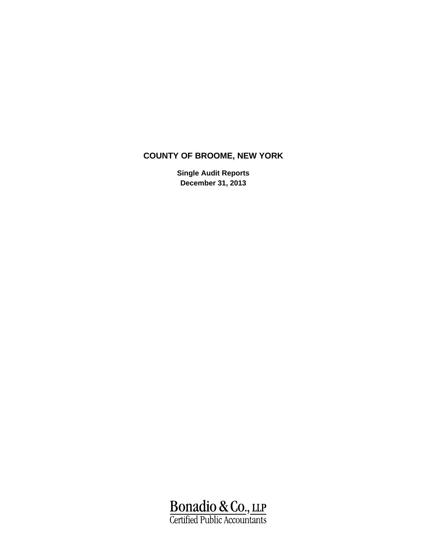**Single Audit Reports December 31, 2013**

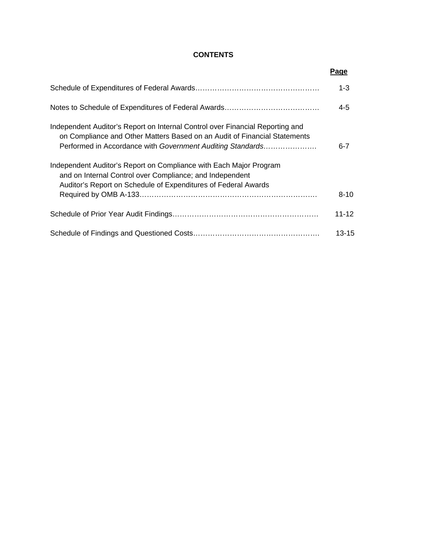# **CONTENTS**

|                                                                                                                                                                                                                          | Page      |
|--------------------------------------------------------------------------------------------------------------------------------------------------------------------------------------------------------------------------|-----------|
|                                                                                                                                                                                                                          | $1 - 3$   |
|                                                                                                                                                                                                                          | $4 - 5$   |
| Independent Auditor's Report on Internal Control over Financial Reporting and<br>on Compliance and Other Matters Based on an Audit of Financial Statements<br>Performed in Accordance with Government Auditing Standards | $6 - 7$   |
| Independent Auditor's Report on Compliance with Each Major Program<br>and on Internal Control over Compliance; and Independent                                                                                           |           |
| Auditor's Report on Schedule of Expenditures of Federal Awards                                                                                                                                                           | $8 - 10$  |
|                                                                                                                                                                                                                          | $11 - 12$ |
|                                                                                                                                                                                                                          | 13-15     |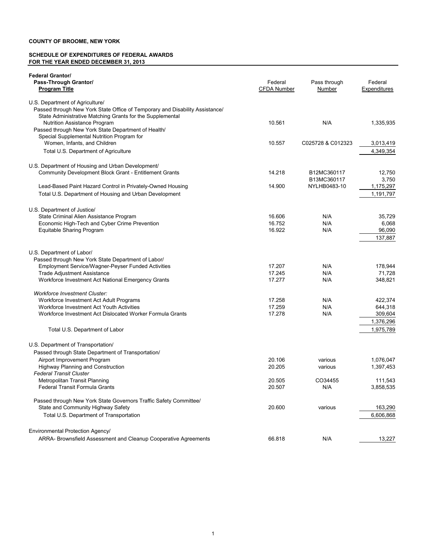#### **SCHEDULE OF EXPENDITURES OF FEDERAL AWARDS FOR THE YEAR ENDED DECEMBER 31, 2013**

| <b>Federal Grantor/</b>                                                                  |                    |                   |                   |
|------------------------------------------------------------------------------------------|--------------------|-------------------|-------------------|
| Pass-Through Grantor/                                                                    | Federal            | Pass through      | Federal           |
| <b>Program Title</b>                                                                     | <b>CFDA Number</b> | Number            | Expenditures      |
| U.S. Department of Agriculture/                                                          |                    |                   |                   |
| Passed through New York State Office of Temporary and Disability Assistance/             |                    |                   |                   |
| State Administrative Matching Grants for the Supplemental                                |                    |                   |                   |
| <b>Nutrition Assistance Program</b>                                                      | 10.561             | N/A               | 1,335,935         |
| Passed through New York State Department of Health/                                      |                    |                   |                   |
| Special Supplemental Nutrition Program for                                               |                    |                   |                   |
| Women, Infants, and Children                                                             | 10.557             | C025728 & C012323 | 3,013,419         |
| Total U.S. Department of Agriculture                                                     |                    |                   | 4,349,354         |
| U.S. Department of Housing and Urban Development/                                        |                    |                   |                   |
| Community Development Block Grant - Entitlement Grants                                   | 14.218             | B12MC360117       | 12,750            |
|                                                                                          |                    | B13MC360117       | 3,750             |
| Lead-Based Paint Hazard Control in Privately-Owned Housing                               | 14.900             | NYLHB0483-10      | 1,175,297         |
| Total U.S. Department of Housing and Urban Development                                   |                    |                   | 1,191,797         |
|                                                                                          |                    |                   |                   |
| U.S. Department of Justice/                                                              |                    |                   |                   |
| State Criminal Alien Assistance Program                                                  | 16.606             | N/A               | 35,729            |
| Economic High-Tech and Cyber Crime Prevention                                            | 16.752             | N/A               | 6,068             |
| Equitable Sharing Program                                                                | 16.922             | N/A               | 96,090            |
|                                                                                          |                    |                   | 137,887           |
|                                                                                          |                    |                   |                   |
| U.S. Department of Labor/                                                                |                    |                   |                   |
| Passed through New York State Department of Labor/                                       |                    |                   |                   |
| Employment Service/Wagner-Peyser Funded Activities<br><b>Trade Adjustment Assistance</b> | 17.207<br>17.245   | N/A<br>N/A        | 178,944<br>71,728 |
| Workforce Investment Act National Emergency Grants                                       | 17.277             | N/A               | 348,821           |
|                                                                                          |                    |                   |                   |
| <b>Workforce Investment Cluster:</b>                                                     |                    |                   |                   |
| Workforce Investment Act Adult Programs                                                  | 17.258             | N/A               | 422,374           |
| Workforce Investment Act Youth Activities                                                | 17.259             | N/A               | 644,318           |
| Workforce Investment Act Dislocated Worker Formula Grants                                | 17.278             | N/A               | 309,604           |
|                                                                                          |                    |                   | 1,376,296         |
| Total U.S. Department of Labor                                                           |                    |                   | 1,975,789         |
|                                                                                          |                    |                   |                   |
| U.S. Department of Transportation/                                                       |                    |                   |                   |
| Passed through State Department of Transportation/                                       |                    |                   |                   |
| Airport Improvement Program<br><b>Highway Planning and Construction</b>                  | 20.106<br>20.205   | various           | 1,076,047         |
| <b>Federal Transit Cluster</b>                                                           |                    | various           | 1,397,453         |
| Metropolitan Transit Planning                                                            | 20.505             | CO34455           | 111,543           |
| Federal Transit Formula Grants                                                           | 20.507             | N/A               | 3,858,535         |
|                                                                                          |                    |                   |                   |
| Passed through New York State Governors Traffic Safety Committee/                        |                    |                   |                   |
| State and Community Highway Safety                                                       | 20.600             | various           | 163,290           |
| Total U.S. Department of Transportation                                                  |                    |                   | 6,606,868         |
|                                                                                          |                    |                   |                   |
| Environmental Protection Agency/                                                         |                    |                   |                   |
| ARRA- Brownsfield Assessment and Cleanup Cooperative Agreements                          | 66.818             | N/A               | 13,227            |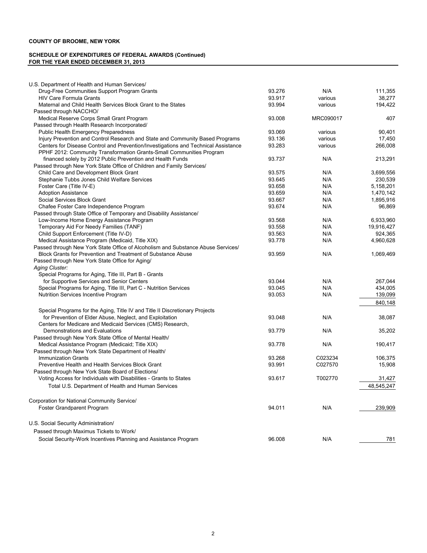#### **SCHEDULE OF EXPENDITURES OF FEDERAL AWARDS (Continued) FOR THE YEAR ENDED DECEMBER 31, 2013**

| U.S. Department of Health and Human Services/                                      |        |           |            |
|------------------------------------------------------------------------------------|--------|-----------|------------|
| Drug-Free Communities Support Program Grants                                       | 93.276 | N/A       | 111,355    |
| <b>HIV Care Formula Grants</b>                                                     | 93.917 | various   | 38,277     |
| Maternal and Child Health Services Block Grant to the States                       | 93.994 | various   | 194,422    |
| Passed through NACCHO/                                                             |        |           |            |
| Medical Reserve Corps Small Grant Program                                          | 93.008 | MRC090017 | 407        |
| Passed through Health Research Incorporated/                                       |        |           |            |
| <b>Public Health Emergency Preparedness</b>                                        | 93.069 | various   | 90,401     |
| Injury Prevention and Control Research and State and Community Based Programs      | 93.136 | various   | 17.450     |
| Centers for Disease Control and Prevention/Investigations and Technical Assistance | 93.283 | various   | 266,008    |
| PPHF 2012: Community Transformation Grants-Small Communities Program               |        |           |            |
| financed solely by 2012 Public Prevention and Health Funds                         | 93.737 | N/A       | 213,291    |
| Passed through New York State Office of Children and Family Services/              |        |           |            |
| Child Care and Development Block Grant                                             | 93.575 | N/A       | 3,699,556  |
| Stephanie Tubbs Jones Child Welfare Services                                       | 93.645 | N/A       | 230,539    |
| Foster Care (Title IV-E)                                                           | 93.658 | N/A       | 5,158,201  |
| <b>Adoption Assistance</b>                                                         | 93.659 | N/A       | 1,470,142  |
| Social Services Block Grant                                                        | 93.667 | N/A       | 1,895,916  |
| Chafee Foster Care Independence Program                                            | 93.674 | N/A       | 96,869     |
| Passed through State Office of Temporary and Disability Assistance/                |        |           |            |
| Low-Income Home Energy Assistance Program                                          | 93.568 | N/A       | 6,933,960  |
| Temporary Aid For Needy Families (TANF)                                            | 93.558 | N/A       | 19,916,427 |
| Child Support Enforcement (Title IV-D)                                             | 93.563 | N/A       | 924,365    |
| Medical Assistance Program (Medicaid, Title XIX)                                   | 93.778 | N/A       | 4,960,628  |
| Passed through New York State Office of Alcoholism and Substance Abuse Services/   |        |           |            |
| Block Grants for Prevention and Treatment of Substance Abuse                       | 93.959 | N/A       | 1,069,469  |
| Passed through New York State Office for Aging/                                    |        |           |            |
| Aging Cluster:                                                                     |        |           |            |
|                                                                                    |        |           |            |
| Special Programs for Aging, Title III, Part B - Grants                             | 93.044 |           |            |
| for Supportive Services and Senior Centers                                         |        | N/A       | 267,044    |
| Special Programs for Aging, Title III, Part C - Nutrition Services                 | 93.045 | N/A       | 434,005    |
| Nutrition Services Incentive Program                                               | 93.053 | N/A       | 139,099    |
|                                                                                    |        |           | 840,148    |
| Special Programs for the Aging, Title IV and Title II Discretionary Projects       |        |           |            |
| for Prevention of Elder Abuse, Neglect, and Exploitation                           | 93.048 | N/A       | 38,087     |
| Centers for Medicare and Medicaid Services (CMS) Research,                         |        |           |            |
| Demonstrations and Evaluations                                                     | 93.779 | N/A       | 35,202     |
| Passed through New York State Office of Mental Health/                             |        |           |            |
| Medical Assistance Program (Medicaid; Title XIX)                                   | 93.778 | N/A       | 190,417    |
| Passed through New York State Department of Health/                                |        |           |            |
| <b>Immunization Grants</b>                                                         | 93.268 | C023234   | 106,375    |
| Preventive Health and Health Services Block Grant                                  | 93.991 | C027570   | 15,908     |
| Passed through New York State Board of Elections/                                  |        |           |            |
| Voting Access for Individuals with Disabilities - Grants to States                 | 93.617 | T002770   | 31,427     |
| Total U.S. Department of Health and Human Services                                 |        |           | 48,545,247 |
|                                                                                    |        |           |            |
| Corporation for National Community Service/                                        |        |           |            |
| Foster Grandparent Program                                                         | 94.011 | N/A       | 239,909    |
| U.S. Social Security Administration/                                               |        |           |            |
| Passed through Maximus Tickets to Work/                                            |        |           |            |
| Social Security-Work Incentives Planning and Assistance Program                    | 96.008 | N/A       | 781        |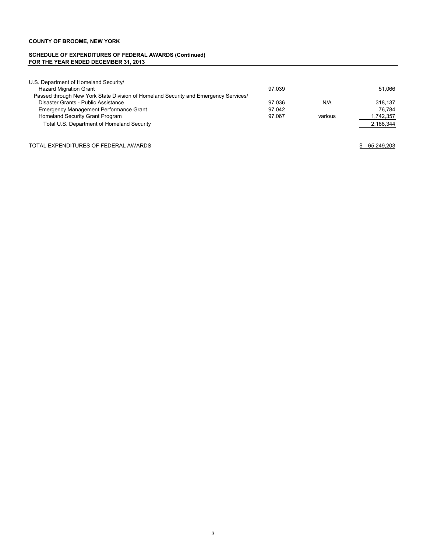#### **SCHEDULE OF EXPENDITURES OF FEDERAL AWARDS (Continued) FOR THE YEAR ENDED DECEMBER 31, 2013**

| U.S. Department of Homeland Security/                                               |        |         |           |
|-------------------------------------------------------------------------------------|--------|---------|-----------|
| <b>Hazard Migration Grant</b>                                                       | 97.039 |         | 51.066    |
| Passed through New York State Division of Homeland Security and Emergency Services/ |        |         |           |
| Disaster Grants - Public Assistance                                                 | 97.036 | N/A     | 318.137   |
| <b>Emergency Management Performance Grant</b>                                       | 97.042 |         | 76.784    |
| Homeland Security Grant Program                                                     | 97.067 | various | 1,742,357 |
| Total U.S. Department of Homeland Security                                          |        |         | 2,188,344 |

TOTAL EXPENDITURES OF FEDERAL AWARDS **\$ 65,249,203**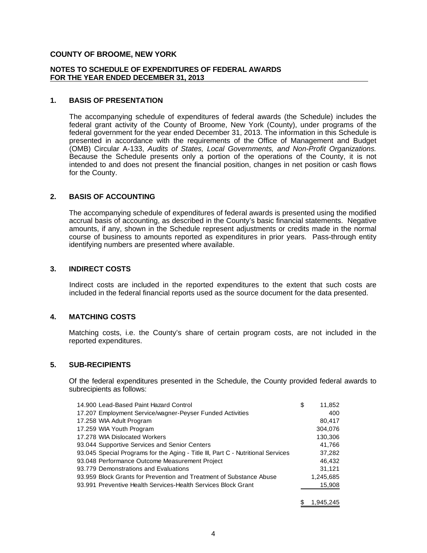#### **NOTES TO SCHEDULE OF EXPENDITURES OF FEDERAL AWARDS FOR THE YEAR ENDED DECEMBER 31, 2013**

### **1. BASIS OF PRESENTATION**

The accompanying schedule of expenditures of federal awards (the Schedule) includes the federal grant activity of the County of Broome, New York (County), under programs of the federal government for the year ended December 31, 2013. The information in this Schedule is presented in accordance with the requirements of the Office of Management and Budget (OMB) Circular A-133, *Audits of States, Local Governments, and Non-Profit Organizations.* Because the Schedule presents only a portion of the operations of the County, it is not intended to and does not present the financial position, changes in net position or cash flows for the County.

#### **2. BASIS OF ACCOUNTING**

The accompanying schedule of expenditures of federal awards is presented using the modified accrual basis of accounting, as described in the County's basic financial statements. Negative amounts, if any, shown in the Schedule represent adjustments or credits made in the normal course of business to amounts reported as expenditures in prior years. Pass-through entity identifying numbers are presented where available.

### **3. INDIRECT COSTS**

Indirect costs are included in the reported expenditures to the extent that such costs are included in the federal financial reports used as the source document for the data presented.

### **4. MATCHING COSTS**

Matching costs, i.e. the County's share of certain program costs, are not included in the reported expenditures.

### **5. SUB-RECIPIENTS**

Of the federal expenditures presented in the Schedule, the County provided federal awards to subrecipients as follows:

| 14.900 Lead-Based Paint Hazard Control                                           | \$<br>11,852 |
|----------------------------------------------------------------------------------|--------------|
| 17.207 Employment Service/wagner-Peyser Funded Activities                        | 400          |
| 17.258 WIA Adult Program                                                         | 80,417       |
| 17.259 WIA Youth Program                                                         | 304.076      |
| 17.278 WIA Dislocated Workers                                                    | 130,306      |
| 93.044 Supportive Services and Senior Centers                                    | 41.766       |
| 93.045 Special Programs for the Aging - Title III, Part C - Nutritional Services | 37,282       |
| 93.048 Performance Outcome Measurement Project                                   | 46.432       |
| 93.779 Demonstrations and Evaluations                                            | 31,121       |
| 93.959 Block Grants for Prevention and Treatment of Substance Abuse              | 1,245,685    |
| 93.991 Preventive Health Services-Health Services Block Grant                    | 15,908       |
|                                                                                  |              |

\$ 1,945,245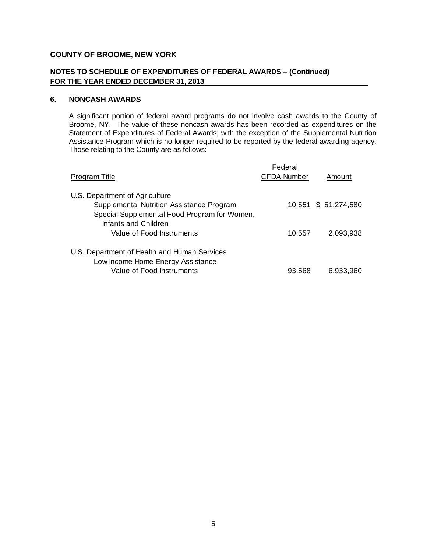# **NOTES TO SCHEDULE OF EXPENDITURES OF FEDERAL AWARDS – (Continued) FOR THE YEAR ENDED DECEMBER 31, 2013**

# **6. NONCASH AWARDS**

A significant portion of federal award programs do not involve cash awards to the County of Broome, NY. The value of these noncash awards has been recorded as expenditures on the Statement of Expenditures of Federal Awards, with the exception of the Supplemental Nutrition Assistance Program which is no longer required to be reported by the federal awarding agency. Those relating to the County are as follows:

| Program Title                                                                                                               | Federal<br><b>CFDA Number</b> | Amount               |
|-----------------------------------------------------------------------------------------------------------------------------|-------------------------------|----------------------|
| U.S. Department of Agriculture<br>Supplemental Nutrition Assistance Program<br>Special Supplemental Food Program for Women, |                               | 10.551 \$ 51,274,580 |
| Infants and Children<br>Value of Food Instruments                                                                           | 10.557                        | 2,093,938            |
| U.S. Department of Health and Human Services<br>Low Income Home Energy Assistance<br>Value of Food Instruments              | 93.568                        | 6.933.960            |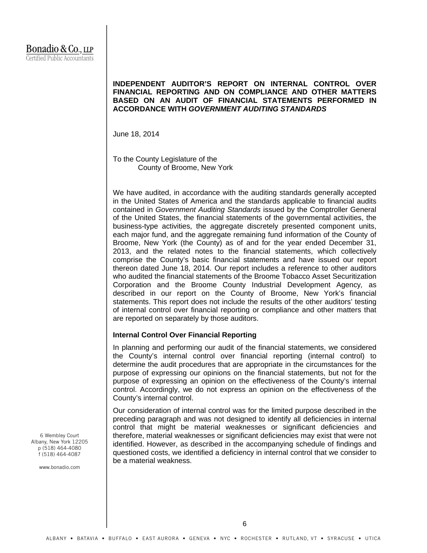# **INDEPENDENT AUDITOR'S REPORT ON INTERNAL CONTROL OVER FINANCIAL REPORTING AND ON COMPLIANCE AND OTHER MATTERS BASED ON AN AUDIT OF FINANCIAL STATEMENTS PERFORMED IN ACCORDANCE WITH** *GOVERNMENT AUDITING STANDARDS*

June 18, 2014

To the County Legislature of the County of Broome, New York

We have audited, in accordance with the auditing standards generally accepted in the United States of America and the standards applicable to financial audits contained in *Government Auditing Standards* issued by the Comptroller General of the United States, the financial statements of the governmental activities, the business-type activities, the aggregate discretely presented component units, each major fund, and the aggregate remaining fund information of the County of Broome, New York (the County) as of and for the year ended December 31, 2013, and the related notes to the financial statements, which collectively comprise the County's basic financial statements and have issued our report thereon dated June 18, 2014. Our report includes a reference to other auditors who audited the financial statements of the Broome Tobacco Asset Securitization Corporation and the Broome County Industrial Development Agency*,* as described in our report on the County of Broome, New York's financial statements. This report does not include the results of the other auditors' testing of internal control over financial reporting or compliance and other matters that are reported on separately by those auditors.

### **Internal Control Over Financial Reporting**

In planning and performing our audit of the financial statements, we considered the County's internal control over financial reporting (internal control) to determine the audit procedures that are appropriate in the circumstances for the purpose of expressing our opinions on the financial statements, but not for the purpose of expressing an opinion on the effectiveness of the County's internal control. Accordingly, we do not express an opinion on the effectiveness of the County's internal control.

Our consideration of internal control was for the limited purpose described in the preceding paragraph and was not designed to identify all deficiencies in internal control that might be material weaknesses or significant deficiencies and therefore, material weaknesses or significant deficiencies may exist that were not identified. However, as described in the accompanying schedule of findings and questioned costs, we identified a deficiency in internal control that we consider to be a material weakness.

6 Wembley Court Albany, New York 12205 p (518) 464-4080 f (518) 464-4087

www.bonadio.com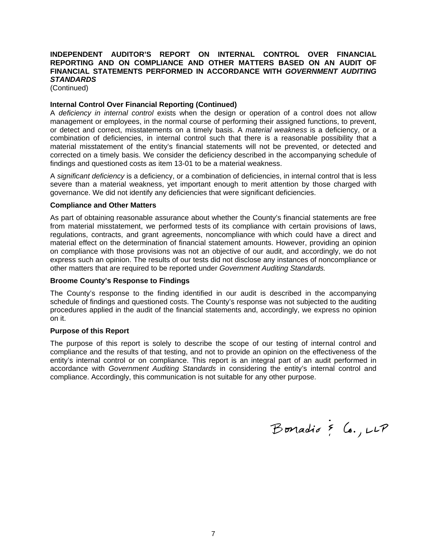# **INDEPENDENT AUDITOR'S REPORT ON INTERNAL CONTROL OVER FINANCIAL REPORTING AND ON COMPLIANCE AND OTHER MATTERS BASED ON AN AUDIT OF FINANCIAL STATEMENTS PERFORMED IN ACCORDANCE WITH** *GOVERNMENT AUDITING STANDARDS*

(Continued)

### **Internal Control Over Financial Reporting (Continued)**

A *deficiency in internal control* exists when the design or operation of a control does not allow management or employees, in the normal course of performing their assigned functions, to prevent, or detect and correct, misstatements on a timely basis. A *material weakness* is a deficiency, or a combination of deficiencies, in internal control such that there is a reasonable possibility that a material misstatement of the entity's financial statements will not be prevented, or detected and corrected on a timely basis. We consider the deficiency described in the accompanying schedule of findings and questioned costs as item 13-01 to be a material weakness.

A *significant deficiency* is a deficiency, or a combination of deficiencies, in internal control that is less severe than a material weakness, yet important enough to merit attention by those charged with governance. We did not identify any deficiencies that were significant deficiencies.

### **Compliance and Other Matters**

As part of obtaining reasonable assurance about whether the County's financial statements are free from material misstatement, we performed tests of its compliance with certain provisions of laws, regulations, contracts, and grant agreements, noncompliance with which could have a direct and material effect on the determination of financial statement amounts. However, providing an opinion on compliance with those provisions was not an objective of our audit, and accordingly, we do not express such an opinion. The results of our tests did not disclose any instances of noncompliance or other matters that are required to be reported under *Government Auditing Standards.*

### **Broome County's Response to Findings**

The County's response to the finding identified in our audit is described in the accompanying schedule of findings and questioned costs. The County's response was not subjected to the auditing procedures applied in the audit of the financial statements and, accordingly, we express no opinion on it.

#### **Purpose of this Report**

The purpose of this report is solely to describe the scope of our testing of internal control and compliance and the results of that testing, and not to provide an opinion on the effectiveness of the entity's internal control or on compliance. This report is an integral part of an audit performed in accordance with *Government Auditing Standards* in considering the entity's internal control and compliance. Accordingly, this communication is not suitable for any other purpose.

Bonadio & Co., LLP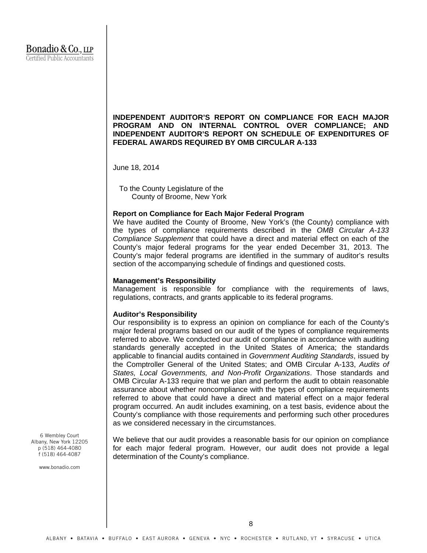# **INDEPENDENT AUDITOR'S REPORT ON COMPLIANCE FOR EACH MAJOR PROGRAM AND ON INTERNAL CONTROL OVER COMPLIANCE; AND INDEPENDENT AUDITOR'S REPORT ON SCHEDULE OF EXPENDITURES OF FEDERAL AWARDS REQUIRED BY OMB CIRCULAR A-133**

June 18, 2014

To the County Legislature of the County of Broome, New York

### **Report on Compliance for Each Major Federal Program**

We have audited the County of Broome, New York's (the County) compliance with the types of compliance requirements described in the *OMB Circular A-133 Compliance Supplement* that could have a direct and material effect on each of the County's major federal programs for the year ended December 31, 2013. The County's major federal programs are identified in the summary of auditor's results section of the accompanying schedule of findings and questioned costs.

### **Management's Responsibility**

Management is responsible for compliance with the requirements of laws, regulations, contracts, and grants applicable to its federal programs.

#### **Auditor's Responsibility**

Our responsibility is to express an opinion on compliance for each of the County's major federal programs based on our audit of the types of compliance requirements referred to above. We conducted our audit of compliance in accordance with auditing standards generally accepted in the United States of America; the standards applicable to financial audits contained in *Government Auditing Standards*, issued by the Comptroller General of the United States; and OMB Circular A-133, *Audits of States, Local Governments, and Non-Profit Organizations*. Those standards and OMB Circular A-133 require that we plan and perform the audit to obtain reasonable assurance about whether noncompliance with the types of compliance requirements referred to above that could have a direct and material effect on a major federal program occurred. An audit includes examining, on a test basis, evidence about the County's compliance with those requirements and performing such other procedures as we considered necessary in the circumstances.

We believe that our audit provides a reasonable basis for our opinion on compliance for each major federal program. However, our audit does not provide a legal determination of the County's compliance.

6 Wembley Court Albany, New York 12205 p (518) 464-4080 f (518) 464-4087

www.bonadio.com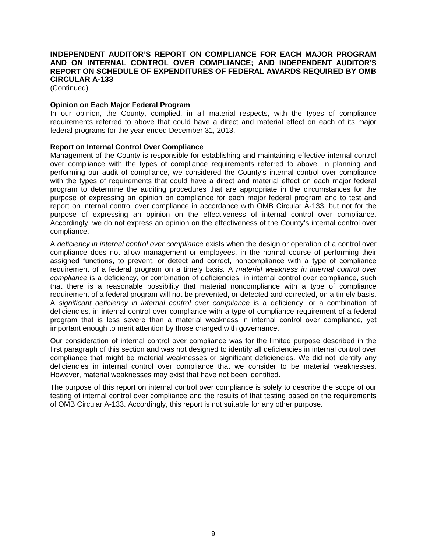# **INDEPENDENT AUDITOR'S REPORT ON COMPLIANCE FOR EACH MAJOR PROGRAM AND ON INTERNAL CONTROL OVER COMPLIANCE; AND INDEPENDENT AUDITOR'S REPORT ON SCHEDULE OF EXPENDITURES OF FEDERAL AWARDS REQUIRED BY OMB CIRCULAR A-133**

(Continued)

# **Opinion on Each Major Federal Program**

In our opinion, the County, complied, in all material respects, with the types of compliance requirements referred to above that could have a direct and material effect on each of its major federal programs for the year ended December 31, 2013.

# **Report on Internal Control Over Compliance**

Management of the County is responsible for establishing and maintaining effective internal control over compliance with the types of compliance requirements referred to above. In planning and performing our audit of compliance, we considered the County's internal control over compliance with the types of requirements that could have a direct and material effect on each major federal program to determine the auditing procedures that are appropriate in the circumstances for the purpose of expressing an opinion on compliance for each major federal program and to test and report on internal control over compliance in accordance with OMB Circular A-133, but not for the purpose of expressing an opinion on the effectiveness of internal control over compliance. Accordingly, we do not express an opinion on the effectiveness of the County's internal control over compliance.

A *deficiency in internal control over compliance* exists when the design or operation of a control over compliance does not allow management or employees, in the normal course of performing their assigned functions, to prevent, or detect and correct, noncompliance with a type of compliance requirement of a federal program on a timely basis. A *material weakness in internal control over compliance* is a deficiency, or combination of deficiencies, in internal control over compliance, such that there is a reasonable possibility that material noncompliance with a type of compliance requirement of a federal program will not be prevented, or detected and corrected, on a timely basis. A *significant deficiency in internal control over compliance* is a deficiency, or a combination of deficiencies, in internal control over compliance with a type of compliance requirement of a federal program that is less severe than a material weakness in internal control over compliance, yet important enough to merit attention by those charged with governance.

Our consideration of internal control over compliance was for the limited purpose described in the first paragraph of this section and was not designed to identify all deficiencies in internal control over compliance that might be material weaknesses or significant deficiencies. We did not identify any deficiencies in internal control over compliance that we consider to be material weaknesses. However, material weaknesses may exist that have not been identified.

The purpose of this report on internal control over compliance is solely to describe the scope of our testing of internal control over compliance and the results of that testing based on the requirements of OMB Circular A-133. Accordingly, this report is not suitable for any other purpose.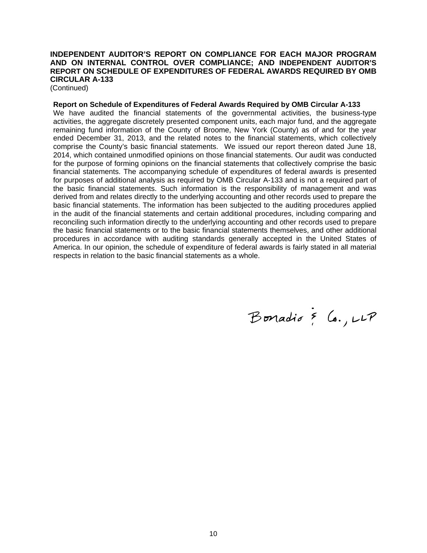# **INDEPENDENT AUDITOR'S REPORT ON COMPLIANCE FOR EACH MAJOR PROGRAM AND ON INTERNAL CONTROL OVER COMPLIANCE; AND INDEPENDENT AUDITOR'S REPORT ON SCHEDULE OF EXPENDITURES OF FEDERAL AWARDS REQUIRED BY OMB CIRCULAR A-133**

(Continued)

**Report on Schedule of Expenditures of Federal Awards Required by OMB Circular A-133** 

We have audited the financial statements of the governmental activities, the business-type activities, the aggregate discretely presented component units, each major fund, and the aggregate remaining fund information of the County of Broome, New York (County) as of and for the year ended December 31, 2013, and the related notes to the financial statements, which collectively comprise the County's basic financial statements. We issued our report thereon dated June 18, 2014, which contained unmodified opinions on those financial statements. Our audit was conducted for the purpose of forming opinions on the financial statements that collectively comprise the basic financial statements. The accompanying schedule of expenditures of federal awards is presented for purposes of additional analysis as required by OMB Circular A-133 and is not a required part of the basic financial statements. Such information is the responsibility of management and was derived from and relates directly to the underlying accounting and other records used to prepare the basic financial statements. The information has been subjected to the auditing procedures applied in the audit of the financial statements and certain additional procedures, including comparing and reconciling such information directly to the underlying accounting and other records used to prepare the basic financial statements or to the basic financial statements themselves, and other additional procedures in accordance with auditing standards generally accepted in the United States of America. In our opinion, the schedule of expenditure of federal awards is fairly stated in all material respects in relation to the basic financial statements as a whole.

Bonadio & Co., LLP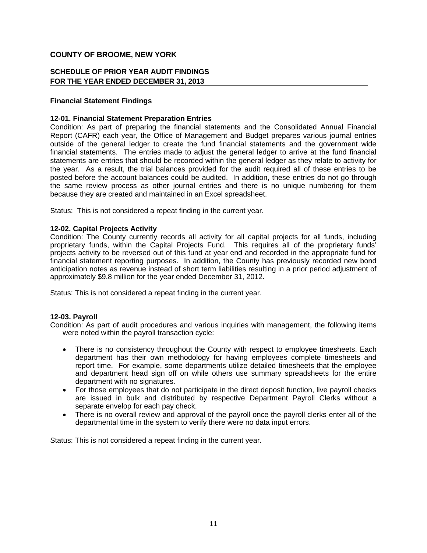# **SCHEDULE OF PRIOR YEAR AUDIT FINDINGS FOR THE YEAR ENDED DECEMBER 31, 2013**

# **Financial Statement Findings**

# **12-01. Financial Statement Preparation Entries**

Condition: As part of preparing the financial statements and the Consolidated Annual Financial Report (CAFR) each year, the Office of Management and Budget prepares various journal entries outside of the general ledger to create the fund financial statements and the government wide financial statements. The entries made to adjust the general ledger to arrive at the fund financial statements are entries that should be recorded within the general ledger as they relate to activity for the year. As a result, the trial balances provided for the audit required all of these entries to be posted before the account balances could be audited. In addition, these entries do not go through the same review process as other journal entries and there is no unique numbering for them because they are created and maintained in an Excel spreadsheet.

Status: This is not considered a repeat finding in the current year.

### **12-02. Capital Projects Activity**

Condition: The County currently records all activity for all capital projects for all funds, including proprietary funds, within the Capital Projects Fund. This requires all of the proprietary funds' projects activity to be reversed out of this fund at year end and recorded in the appropriate fund for financial statement reporting purposes. In addition, the County has previously recorded new bond anticipation notes as revenue instead of short term liabilities resulting in a prior period adjustment of approximately \$9.8 million for the year ended December 31, 2012.

Status: This is not considered a repeat finding in the current year.

### **12-03. Payroll**

Condition: As part of audit procedures and various inquiries with management, the following items were noted within the payroll transaction cycle:

- There is no consistency throughout the County with respect to employee timesheets. Each department has their own methodology for having employees complete timesheets and report time. For example, some departments utilize detailed timesheets that the employee and department head sign off on while others use summary spreadsheets for the entire department with no signatures.
- For those employees that do not participate in the direct deposit function, live payroll checks are issued in bulk and distributed by respective Department Payroll Clerks without a separate envelop for each pay check.
- There is no overall review and approval of the payroll once the payroll clerks enter all of the departmental time in the system to verify there were no data input errors.

Status: This is not considered a repeat finding in the current year.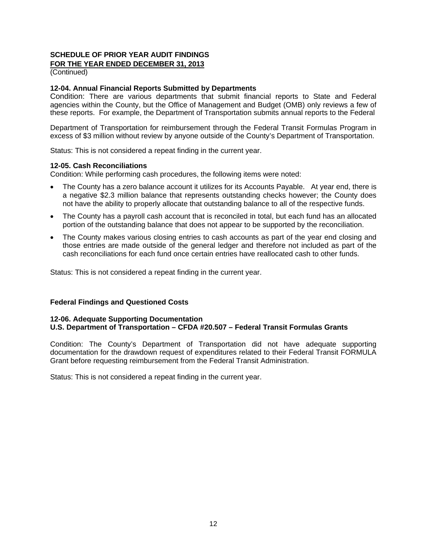# **SCHEDULE OF PRIOR YEAR AUDIT FINDINGS FOR THE YEAR ENDED DECEMBER 31, 2013**

(Continued)

# **12-04. Annual Financial Reports Submitted by Departments**

Condition: There are various departments that submit financial reports to State and Federal agencies within the County, but the Office of Management and Budget (OMB) only reviews a few of these reports. For example, the Department of Transportation submits annual reports to the Federal

Department of Transportation for reimbursement through the Federal Transit Formulas Program in excess of \$3 million without review by anyone outside of the County's Department of Transportation.

Status: This is not considered a repeat finding in the current year.

### **12-05. Cash Reconciliations**

Condition: While performing cash procedures, the following items were noted:

- The County has a zero balance account it utilizes for its Accounts Payable. At year end, there is a negative \$2.3 million balance that represents outstanding checks however; the County does not have the ability to properly allocate that outstanding balance to all of the respective funds.
- The County has a payroll cash account that is reconciled in total, but each fund has an allocated portion of the outstanding balance that does not appear to be supported by the reconciliation.
- The County makes various closing entries to cash accounts as part of the year end closing and those entries are made outside of the general ledger and therefore not included as part of the cash reconciliations for each fund once certain entries have reallocated cash to other funds.

Status: This is not considered a repeat finding in the current year.

### **Federal Findings and Questioned Costs**

### **12-06. Adequate Supporting Documentation U.S. Department of Transportation – CFDA #20.507 – Federal Transit Formulas Grants**

Condition: The County's Department of Transportation did not have adequate supporting documentation for the drawdown request of expenditures related to their Federal Transit FORMULA Grant before requesting reimbursement from the Federal Transit Administration.

Status: This is not considered a repeat finding in the current year.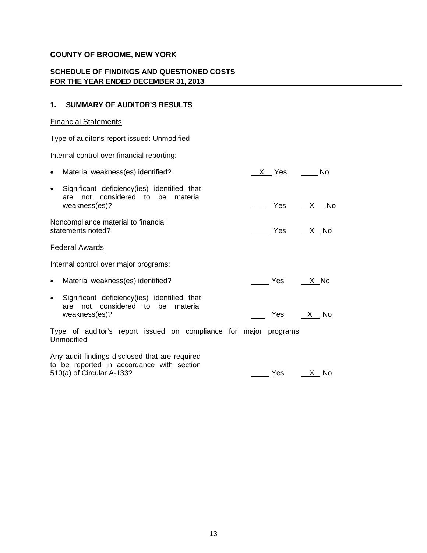# **SCHEDULE OF FINDINGS AND QUESTIONED COSTS FOR THE YEAR ENDED DECEMBER 31, 2013**

# **1. SUMMARY OF AUDITOR'S RESULTS**

# Financial Statements

Type of auditor's report issued: Unmodified

Internal control over financial reporting:

| Material weakness(es) identified?<br>$\bullet$                                                                     | X Yes No           |                  |
|--------------------------------------------------------------------------------------------------------------------|--------------------|------------------|
| Significant deficiency (ies) identified that<br>$\bullet$<br>not considered to be material<br>are<br>weakness(es)? | Yes                | X No             |
| Noncompliance material to financial<br>statements noted?                                                           |                    | Yes $X$ No       |
| <b>Federal Awards</b>                                                                                              |                    |                  |
| Internal control over major programs:                                                                              |                    |                  |
| Material weakness(es) identified?<br>$\bullet$                                                                     | <b>Paradox</b> Yes | <u>__ X _ No</u> |
| Significant deficiency (ies) identified that<br>$\bullet$<br>not considered to be material<br>are<br>weakness(es)? |                    | Yes <u>X</u> No  |
| Type of auditor's report issued on compliance for major programs:<br>Unmodified                                    |                    |                  |
| Any audit findings disclosed that are required<br>to be reported in accordance with section                        |                    |                  |

 $t_{\rm c}$  be reported in accordance to be reported in accordance with section section section in a section section in a section section in a section section in a section section in a section section in a section section in

 $Yes$   $X$  No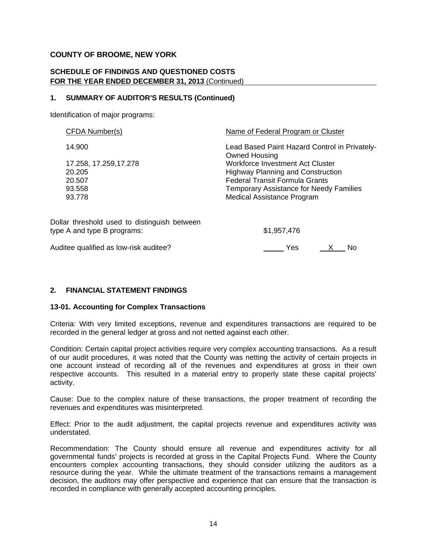# **SCHEDULE OF FINDINGS AND QUESTIONED COSTS FOR THE YEAR ENDED DECEMBER 31, 2013** (Continued)

# **1. SUMMARY OF AUDITOR'S RESULTS (Continued)**

Identification of major programs:

| CFDA Number(s)                               | Name of Federal Program or Cluster                                    |
|----------------------------------------------|-----------------------------------------------------------------------|
| 14.900                                       | Lead Based Paint Hazard Control in Privately-<br><b>Owned Housing</b> |
| 17.258, 17.259, 17.278                       | <b>Workforce Investment Act Cluster</b>                               |
| 20.205                                       | <b>Highway Planning and Construction</b>                              |
| 20.507                                       | <b>Federal Transit Formula Grants</b>                                 |
| 93.558                                       | <b>Temporary Assistance for Needy Families</b>                        |
| 93.778                                       | <b>Medical Assistance Program</b>                                     |
| Dollar threshold used to distinguish between |                                                                       |
| type A and type B programs:                  | \$1,957,476                                                           |
|                                              |                                                                       |

Auditee qualified as low-risk auditee? Auditee when the state of the SNO No

# **2. FINANCIAL STATEMENT FINDINGS**

# **13-01. Accounting for Complex Transactions**

Criteria: With very limited exceptions, revenue and expenditures transactions are required to be recorded in the general ledger at gross and not netted against each other.

Condition: Certain capital project activities require very complex accounting transactions. As a result of our audit procedures, it was noted that the County was netting the activity of certain projects in one account instead of recording all of the revenues and expenditures at gross in their own respective accounts. This resulted in a material entry to properly state these capital projects' activity.

Cause: Due to the complex nature of these transactions, the proper treatment of recording the revenues and expenditures was misinterpreted.

Effect: Prior to the audit adjustment, the capital projects revenue and expenditures activity was understated.

Recommendation: The County should ensure all revenue and expenditures activity for all governmental funds' projects is recorded at gross in the Capital Projects Fund. Where the County encounters complex accounting transactions, they should consider utilizing the auditors as a resource during the year. While the ultimate treatment of the transactions remains a management decision, the auditors may offer perspective and experience that can ensure that the transaction is recorded in compliance with generally accepted accounting principles.